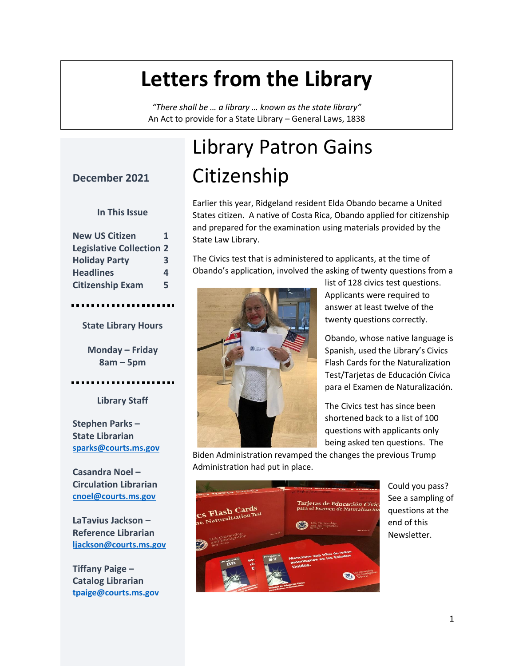#### **Letters from the Library**

*"There shall be … a library … known as the state library"* An Act to provide for a State Library – General Laws, 1838

#### **December 2021**

#### **In This Issue**

| <b>New US Citizen</b>           | 1 |
|---------------------------------|---|
| <b>Legislative Collection 2</b> |   |
| <b>Holiday Party</b>            | 3 |
| <b>Headlines</b>                | 4 |
| <b>Citizenship Exam</b>         | 5 |
|                                 |   |

**State Library Hours**

**Monday – Friday 8am – 5pm**

**Library Staff**

**Stephen Parks – State Librarian [sparks@courts.ms.gov](file:///C:/Users/jsp/Desktop/sparks@courts.ms.gov)**

**Casandra Noel – Circulation Librarian [cnoel@courts.ms.gov](file:///C:/Users/jsp/Desktop/cnoel@courts.ms.gov)**

**LaTavius Jackson – Reference Librarian [ljackson@courts.ms.gov](file:///C:/Users/jsp/Desktop/ljackson@courts.ms.gov)**

**Tiffany Paige – Catalog Librarian [tpaige@courts.ms.gov](file:///C:/Users/jsp/Desktop/tpaige@courts.ms.gov%09)**

# Library Patron Gains **Citizenship**

Earlier this year, Ridgeland resident Elda Obando became a United States citizen. A native of Costa Rica, Obando applied for citizenship and prepared for the examination using materials provided by the State Law Library.

The Civics test that is administered to applicants, at the time of Obando's application, involved the asking of twenty questions from a



list of 128 civics test questions. Applicants were required to answer at least twelve of the twenty questions correctly.

Obando, whose native language is Spanish, used the Library's Civics Flash Cards for the Naturalization Test/Tarjetas de Educación Cívica para el Examen de Naturalización.

The Civics test has since been shortened back to a list of 100 questions with applicants only being asked ten questions. The

Biden Administration revamped the changes the previous Trump Administration had put in place.



Could you pass? See a sampling of questions at the end of this Newsletter.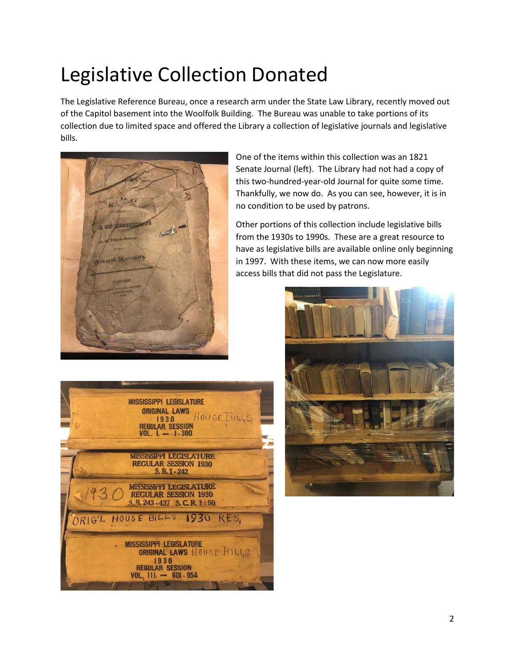## Legislative Collection Donated

The Legislative Reference Bureau, once a research arm under the State Law Library, recently moved out of the Capitol basement into the Woolfolk Building. The Bureau was unable to take portions of its collection due to limited space and offered the Library a collection of legislative journals and legislative bills.



One of the items within this collection was an 1821 Senate Journal (left). The Library had not had a copy of this two-hundred-year-old Journal for quite some time. Thankfully, we now do. As you can see, however, it is in no condition to be used by patrons.

Other portions of this collection include legislative bills from the 1930s to 1990s. These are a great resource to have as legislative bills are available online only beginning in 1997. With these items, we can now more easily access bills that did not pass the Legislature.



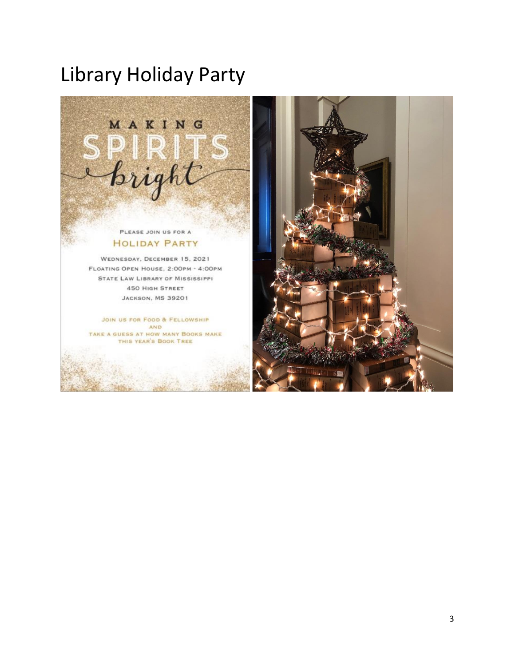#### Library Holiday Party



#### PLEASE JOIN US FOR A **HOLIDAY PARTY**

WEDNESDAY, DECEMBER 15, 2021 FLOATING OPEN HOUSE, 2:00PM - 4:00PM STATE LAW LIBRARY OF MISSISSIPPI **450 HIGH STREET JACKSON, MS 39201** 

JOIN US FOR FOOD & FELLOWSHIP **AND** TAKE A GUESS AT HOW MANY BOOKS MAKE THIS YEAR'S BOOK TREE

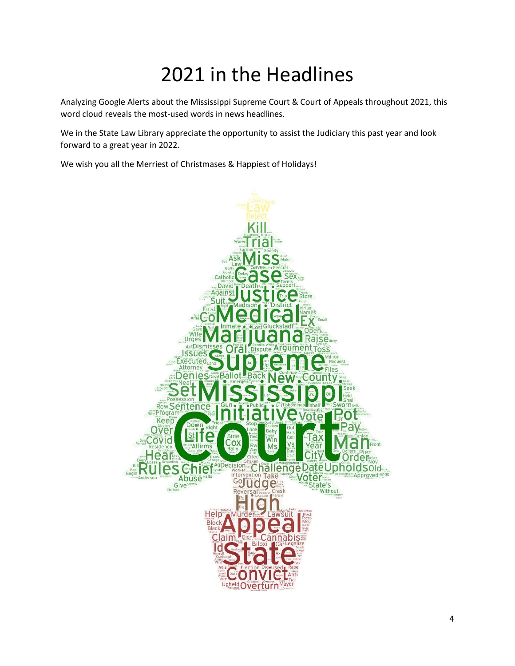## 2021 in the Headlines

Analyzing Google Alerts about the Mississippi Supreme Court & Court of Appeals throughout 2021, this word cloud reveals the most-used words in news headlines.

We in the State Law Library appreciate the opportunity to assist the Judiciary this past year and look forward to a great year in 2022.

We wish you all the Merriest of Christmases & Happiest of Holidays!